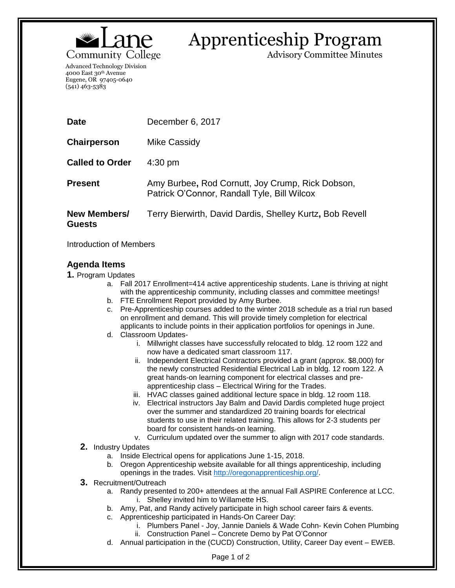

## Apprenticeship Program

Advisory Committee Minutes

Advanced Technology Division 4000 East 30th Avenue Eugene, OR 97405-0640 (541) 463-5383

| <b>Date</b>                   | December 6, 2017                                                                                |
|-------------------------------|-------------------------------------------------------------------------------------------------|
| Chairperson                   | Mike Cassidy                                                                                    |
| <b>Called to Order</b>        | $4:30 \text{ pm}$                                                                               |
| <b>Present</b>                | Amy Burbee, Rod Cornutt, Joy Crump, Rick Dobson,<br>Patrick O'Connor, Randall Tyle, Bill Wilcox |
| New Members/<br><b>Guests</b> | Terry Bierwirth, David Dardis, Shelley Kurtz, Bob Revell                                        |

Introduction of Members

## **Agenda Items**

- **1.** Program Updates
	- a. Fall 2017 Enrollment=414 active apprenticeship students. Lane is thriving at night with the apprenticeship community, including classes and committee meetings!
	- b. FTE Enrollment Report provided by Amy Burbee.
	- c. Pre-Apprenticeship courses added to the winter 2018 schedule as a trial run based on enrollment and demand. This will provide timely completion for electrical applicants to include points in their application portfolios for openings in June.
	- d. Classroom Updates
		- i. Millwright classes have successfully relocated to bldg. 12 room 122 and now have a dedicated smart classroom 117.
		- ii. Independent Electrical Contractors provided a grant (approx. \$8,000) for the newly constructed Residential Electrical Lab in bldg. 12 room 122. A great hands-on learning component for electrical classes and preapprenticeship class – Electrical Wiring for the Trades.
		- iii. HVAC classes gained additional lecture space in bldg. 12 room 118.
		- iv. Electrical instructors Jay Balm and David Dardis completed huge project over the summer and standardized 20 training boards for electrical students to use in their related training. This allows for 2-3 students per board for consistent hands-on learning.
		- v. Curriculum updated over the summer to align with 2017 code standards.
	- **2.** Industry Updates
		- a. Inside Electrical opens for applications June 1-15, 2018.
		- b. Oregon Apprenticeship website available for all things apprenticeship, including openings in the trades. Visit [http://oregonapprenticeship.org/.](http://oregonapprenticeship.org/)
	- **3.** Recruitment/Outreach
		- a. Randy presented to 200+ attendees at the annual Fall ASPIRE Conference at LCC. i. Shelley invited him to Willamette HS.
		- b. Amy, Pat, and Randy actively participate in high school career fairs & events.
		- c. Apprenticeship participated in Hands-On Career Day:
			- i. Plumbers Panel Joy, Jannie Daniels & Wade Cohn- Kevin Cohen Plumbing
			- ii. Construction Panel Concrete Demo by Pat O'Connor
		- d. Annual participation in the (CUCD) Construction, Utility, Career Day event EWEB.